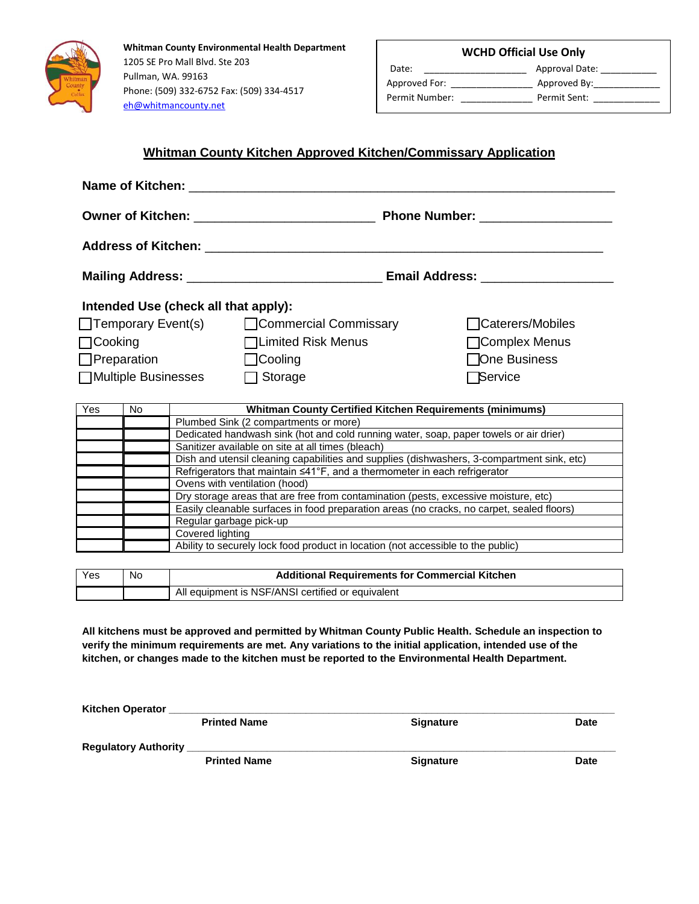

**Whitman County Environmental Health Department**  1205 SE Pro Mall Blvd. Ste 203 Pullman, WA. 99163 Phone: (509) 332-6752 Fax: (509) 334-4517 eh@whitmancounty.net

|  | <b>WCHD Official Use Only</b> |  |  |
|--|-------------------------------|--|--|
|--|-------------------------------|--|--|

Date: \_\_\_\_\_\_\_\_\_\_\_\_\_\_\_\_\_\_\_\_ Approval Date: \_\_\_\_\_\_\_\_\_\_\_ Permit Number: \_\_\_\_\_\_\_\_\_\_\_\_\_\_\_\_\_\_\_ Permit Sent: \_\_\_\_\_\_\_\_\_

Approved For: \_\_\_\_\_\_\_\_\_\_\_\_\_\_\_\_\_\_\_\_\_\_\_\_\_\_ Approved By:\_\_\_\_\_\_\_\_\_\_\_\_\_\_\_\_\_\_\_\_\_\_\_\_\_\_\_

## **Whitman County Kitchen Approved Kitchen/Commissary Application**

|                                                                                                                                                                                                                                    |           | Name of Kitchen:                                                                           |                                                                 |  |                  |  |  |
|------------------------------------------------------------------------------------------------------------------------------------------------------------------------------------------------------------------------------------|-----------|--------------------------------------------------------------------------------------------|-----------------------------------------------------------------|--|------------------|--|--|
| <b>Owner of Kitchen: Communist Communist Communist Communist Communist Communist Communist Communist Communist Communist Communist Communist Communist Communist Communist Communist Communist Communist Communist Communist C</b> |           |                                                                                            | <b>Phone Number:</b>                                            |  |                  |  |  |
|                                                                                                                                                                                                                                    |           | Address of Kitchen: _______                                                                |                                                                 |  |                  |  |  |
|                                                                                                                                                                                                                                    |           |                                                                                            |                                                                 |  |                  |  |  |
| Intended Use (check all that apply):                                                                                                                                                                                               |           |                                                                                            |                                                                 |  |                  |  |  |
| □ Temporary Event(s)                                                                                                                                                                                                               |           |                                                                                            | □ Commercial Commissary                                         |  | Caterers/Mobiles |  |  |
| $\Box$ Cooking                                                                                                                                                                                                                     |           |                                                                                            | □Limited Risk Menus                                             |  | Complex Menus    |  |  |
| $\Box$ Preparation                                                                                                                                                                                                                 |           |                                                                                            | $\Box$ Cooling                                                  |  | □One Business    |  |  |
| □Multiple Businesses                                                                                                                                                                                                               |           |                                                                                            | Storage                                                         |  | <b>Service</b>   |  |  |
|                                                                                                                                                                                                                                    |           |                                                                                            |                                                                 |  |                  |  |  |
| Yes                                                                                                                                                                                                                                | <b>No</b> |                                                                                            | <b>Whitman County Certified Kitchen Requirements (minimums)</b> |  |                  |  |  |
|                                                                                                                                                                                                                                    |           | Plumbed Sink (2 compartments or more)                                                      |                                                                 |  |                  |  |  |
|                                                                                                                                                                                                                                    |           | Dedicated handwash sink (hot and cold running water, soap, paper towels or air drier)      |                                                                 |  |                  |  |  |
|                                                                                                                                                                                                                                    |           | Sanitizer available on site at all times (bleach)                                          |                                                                 |  |                  |  |  |
|                                                                                                                                                                                                                                    |           | Dish and utensil cleaning capabilities and supplies (dishwashers, 3-compartment sink, etc) |                                                                 |  |                  |  |  |
|                                                                                                                                                                                                                                    |           | Refrigerators that maintain ≤41°F, and a thermometer in each refrigerator                  |                                                                 |  |                  |  |  |
|                                                                                                                                                                                                                                    |           | Ovens with ventilation (hood)                                                              |                                                                 |  |                  |  |  |
|                                                                                                                                                                                                                                    |           | Dry storage areas that are free from contamination (pests, excessive moisture, etc)        |                                                                 |  |                  |  |  |
|                                                                                                                                                                                                                                    |           | Easily cleanable surfaces in food preparation areas (no cracks, no carpet, sealed floors)  |                                                                 |  |                  |  |  |
|                                                                                                                                                                                                                                    |           | Regular garbage pick-up                                                                    |                                                                 |  |                  |  |  |
|                                                                                                                                                                                                                                    |           | Covered lighting                                                                           |                                                                 |  |                  |  |  |

Ability to securely lock food product in location (not accessible to the public)

| Yes | No | <b>Additional Requirements for Commercial Kitchen</b> |  |
|-----|----|-------------------------------------------------------|--|
|     |    | All equipment is NSF/ANSI certified or equivalent     |  |

**All kitchens must be approved and permitted by Whitman County Public Health. Schedule an inspection to verify the minimum requirements are met. Any variations to the initial application, intended use of the kitchen, or changes made to the kitchen must be reported to the Environmental Health Department.** 

| <b>Kitchen Operator</b>     |                     |                  |             |
|-----------------------------|---------------------|------------------|-------------|
|                             | <b>Printed Name</b> | <b>Signature</b> | <b>Date</b> |
| <b>Regulatory Authority</b> |                     |                  |             |
|                             | <b>Printed Name</b> | <b>Signature</b> | <b>Date</b> |
|                             |                     |                  |             |